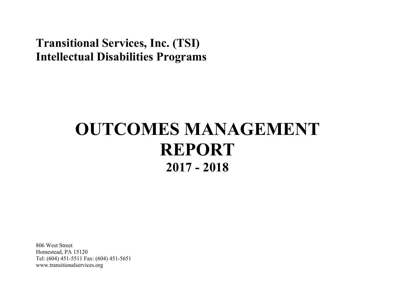## **Transitional Services, Inc. (TSI) Intellectual Disabilities Programs**

# **OUTCOMES MANAGEMENT REPORT 2017 - 2018**

806 West Street Homestead, PA 15120 Tel: (604) 451-5511 Fax: (604) 451-5651 www.transitionalservices.org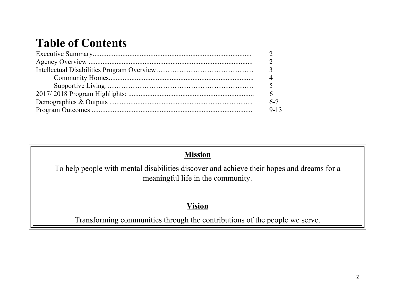## **Table of Contents**

| $9 - 13$ |
|----------|

## **Mission**

To help people with mental disabilities discover and achieve their hopes and dreams for a meaningful life in the community.

## **Vision**

Transforming communities through the contributions of the people we serve.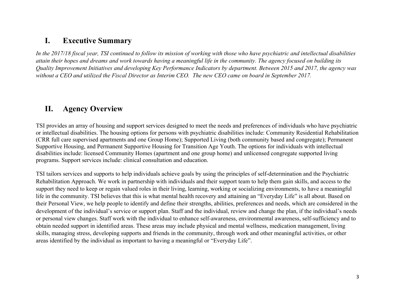### **I. Executive Summary**

*In the 2017/18 fiscal year, TSI continued to follow its mission of working with those who have psychiatric and intellectual disabilities attain their hopes and dreams and work towards having a meaningful life in the community. The agency focused on building its Quality Improvement Initiatives and developing Key Performance Indicators by department. Between 2015 and 2017, the agency was without a CEO and utilized the Fiscal Director as Interim CEO. The new CEO came on board in September 2017.*

### **II. Agency Overview**

TSI provides an array of housing and support services designed to meet the needs and preferences of individuals who have psychiatric or intellectual disabilities. The housing options for persons with psychiatric disabilities include: Community Residential Rehabilitation (CRR full care supervised apartments and one Group Home); Supported Living (both community based and congregate); Permanent Supportive Housing, and Permanent Supportive Housing for Transition Age Youth. The options for individuals with intellectual disabilities include: licensed Community Homes (apartment and one group home) and unlicensed congregate supported living programs. Support services include: clinical consultation and education.

TSI tailors services and supports to help individuals achieve goals by using the principles of self-determination and the Psychiatric Rehabilitation Approach. We work in partnership with individuals and their support team to help them gain skills, and access to the support they need to keep or regain valued roles in their living, learning, working or socializing environments, to have a meaningful life in the community. TSI believes that this is what mental health recovery and attaining an "Everyday Life" is all about. Based on their Personal View, we help people to identify and define their strengths, abilities, preferences and needs, which are considered in the development of the individual's service or support plan. Staff and the individual, review and change the plan, if the individual's needs or personal view changes. Staff work with the individual to enhance self-awareness, environmental awareness, self-sufficiency and to obtain needed support in identified areas. These areas may include physical and mental wellness, medication management, living skills, managing stress, developing supports and friends in the community, through work and other meaningful activities, or other areas identified by the individual as important to having a meaningful or "Everyday Life".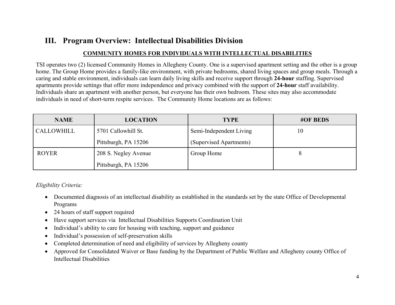## **III. Program Overview: Intellectual Disabilities Division**

#### **COMMUNITY HOMES FOR INDIVIDUALS WITH INTELLECTUAL DISABILITIES**

TSI operates two (2) licensed Community Homes in Allegheny County. One is a supervised apartment setting and the other is a group home. The Group Home provides a family-like environment, with private bedrooms, shared living spaces and group meals. Through a caring and stable environment, individuals can learn daily living skills and receive support through **24-hour** staffing. Supervised apartments provide settings that offer more independence and privacy combined with the support of **24-hour** staff availability. Individuals share an apartment with another person, but everyone has their own bedroom. These sites may also accommodate individuals in need of short-term respite services. The Community Home locations are as follows:

| <b>NAME</b>       | <b>LOCATION</b>      | <b>TYPE</b>             | <b>#OF BEDS</b> |
|-------------------|----------------------|-------------------------|-----------------|
| <b>CALLOWHILL</b> | 5701 Callowhill St.  | Semi-Independent Living | 10              |
|                   | Pittsburgh, PA 15206 | (Supervised Apartments) |                 |
| <b>ROYER</b>      | 208 S. Negley Avenue | Group Home              | 8               |
|                   | Pittsburgh, PA 15206 |                         |                 |

*Eligibility Criteria:*

- Documented diagnosis of an intellectual disability as established in the standards set by the state Office of Developmental Programs
- 24 hours of staff support required
- Have support services via Intellectual Disabilities Supports Coordination Unit
- Individual's ability to care for housing with teaching, support and guidance
- Individual's possession of self-preservation skills
- Completed determination of need and eligibility of services by Allegheny county
- Approved for Consolidated Waiver or Base funding by the Department of Public Welfare and Allegheny county Office of Intellectual Disabilities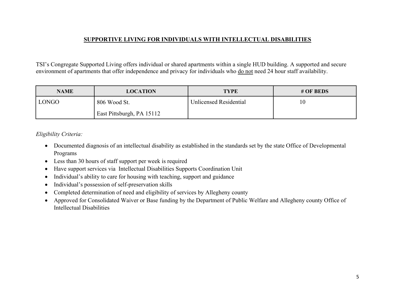#### **SUPPORTIVE LIVING FOR INDIVIDUALS WITH INTELLECTUAL DISABILITIES**

TSI's Congregate Supported Living offers individual or shared apartments within a single HUD building. A supported and secure environment of apartments that offer independence and privacy for individuals who do not need 24 hour staff availability.

| <b>NAME</b>  | <b>LOCATION</b>           | <b>TYPE</b>                   | # OF BEDS |
|--------------|---------------------------|-------------------------------|-----------|
| <b>LONGO</b> | 806 Wood St.              | <b>Unlicensed Residential</b> | 10        |
|              | East Pittsburgh, PA 15112 |                               |           |

#### *Eligibility Criteria:*

- Documented diagnosis of an intellectual disability as established in the standards set by the state Office of Developmental Programs
- Less than 30 hours of staff support per week is required
- Have support services via Intellectual Disabilities Supports Coordination Unit
- Individual's ability to care for housing with teaching, support and guidance
- Individual's possession of self-preservation skills
- Completed determination of need and eligibility of services by Allegheny county
- Approved for Consolidated Waiver or Base funding by the Department of Public Welfare and Allegheny county Office of Intellectual Disabilities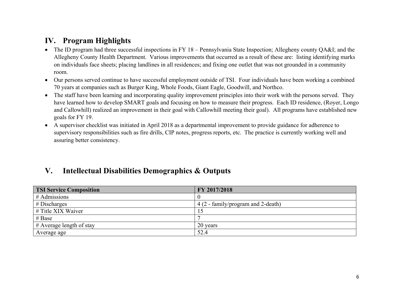## **IV. Program Highlights**

- The ID program had three successful inspections in FY 18 Pennsylvania State Inspection; Allegheny county QA&I; and the Allegheny County Health Department. Various improvements that occurred as a result of these are: listing identifying marks on individuals face sheets; placing landlines in all residences; and fixing one outlet that was not grounded in a community room.
- Our persons served continue to have successful employment outside of TSI. Four individuals have been working a combined 70 years at companies such as Burger King, Whole Foods, Giant Eagle, Goodwill, and Northco.
- The staff have been learning and incorporating quality improvement principles into their work with the persons served. They have learned how to develop SMART goals and focusing on how to measure their progress. Each ID residence, (Royer, Longo and Callowhill) realized an improvement in their goal with Callowhill meeting their goal). All programs have established new goals for FY 19.
- A supervisor checklist was initiated in April 2018 as a departmental improvement to provide guidance for adherence to supervisory responsibilities such as fire drills, CIP notes, progress reports, etc. The practice is currently working well and assuring better consistency.

## **V. Intellectual Disabilities Demographics & Outputs**

| <b>TSI Service Composition</b> | FY 2017/2018                       |
|--------------------------------|------------------------------------|
| $#$ Admissions                 |                                    |
| $#$ Discharges                 | 4 (2 - family/program and 2-death) |
| # Title XIX Waiver             |                                    |
| # Base                         |                                    |
| $#$ Average length of stay     | 20 years                           |
| Average age                    | 52.4                               |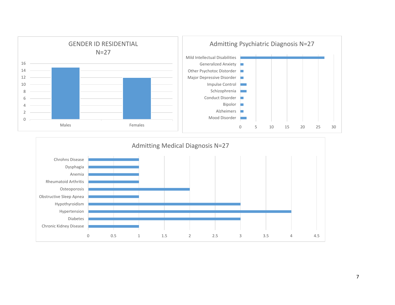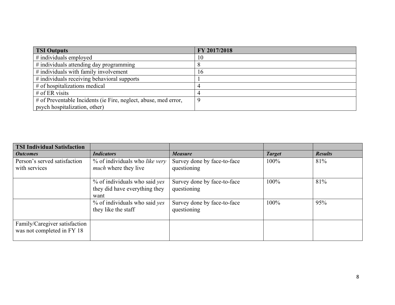| <b>TSI Outputs</b>                                              | FY 2017/2018 |
|-----------------------------------------------------------------|--------------|
| $\#$ individuals employed                                       | 10           |
| # individuals attending day programming                         |              |
| $\#$ individuals with family involvement                        | 16           |
| # individuals receiving behavioral supports                     |              |
| $#$ of hospitalizations medical                                 |              |
| # of ER visits                                                  |              |
| # of Preventable Incidents (ie Fire, neglect, abuse, med error, |              |
| psych hospitalization, other)                                   |              |

| <b>TSI Individual Satisfaction</b>                          |                                                                        |                                            |               |                |
|-------------------------------------------------------------|------------------------------------------------------------------------|--------------------------------------------|---------------|----------------|
| <i><b>Outcomes</b></i>                                      | <b>Indicators</b>                                                      | <b>Measure</b>                             | <b>Target</b> | <b>Results</b> |
| Person's served satisfaction<br>with services               | % of individuals who like very<br><i>much</i> where they live          | Survey done by face-to-face<br>questioning | 100%          | 81%            |
|                                                             | % of individuals who said yes<br>they did have everything they<br>want | Survey done by face-to-face<br>questioning | 100%          | 81%            |
|                                                             | % of individuals who said yes<br>they like the staff                   | Survey done by face-to-face<br>questioning | 100%          | 95%            |
| Family/Caregiver satisfaction<br>was not completed in FY 18 |                                                                        |                                            |               |                |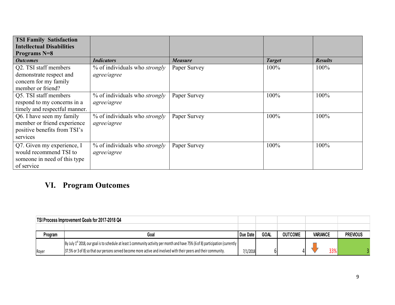| <b>TSI Family Satisfaction</b><br><b>Intellectual Disabilities</b><br><b>Programs N=8</b>            |                                                     |                |               |                |
|------------------------------------------------------------------------------------------------------|-----------------------------------------------------|----------------|---------------|----------------|
| <b>Outcomes</b>                                                                                      | <b>Indicators</b>                                   | <b>Measure</b> | <b>Target</b> | <b>Results</b> |
| Q2. TSI staff members<br>demonstrate respect and<br>concern for my family<br>member or friend?       | % of individuals who strongly<br>agree/agree        | Paper Survey   | 100%          | 100%           |
| Q5. TSI staff members<br>respond to my concerns in a<br>timely and respectful manner.                | % of individuals who <i>strongly</i><br>agree/agree | Paper Survey   | 100%          | 100%           |
| Q6. I have seen my family<br>member or friend experience<br>positive benefits from TSI's<br>services | % of individuals who <i>strongly</i><br>agree/agree | Paper Survey   | 100%          | 100%           |
| Q7. Given my experience, I<br>would recommend TSI to<br>someone in need of this type<br>of service   | % of individuals who <i>strongly</i><br>agree/agree | Paper Survey   | 100%          | 100%           |

## **VI. Program Outcomes**

|         | <b>TSI Process Improvement Goals for 2017-2018 Q4</b>                                                                                                |          |             |                |                 |                 |
|---------|------------------------------------------------------------------------------------------------------------------------------------------------------|----------|-------------|----------------|-----------------|-----------------|
|         |                                                                                                                                                      |          |             |                |                 |                 |
| Program | Goal                                                                                                                                                 | Due Date | <b>GOAL</b> | <b>OUTCOME</b> | <b>VARIANCE</b> | <b>PREVIOUS</b> |
|         | By July 1 <sup>st</sup> 2018, our goal is to schedule at least 1 community activity per month and have 75% (6 of 8) participation (currently $\vert$ |          |             |                |                 |                 |
| Royer   | 37.5% or 3 of 8) so that our persons served become more active and involved with their peers and their community.                                    | 7/1/2018 |             |                | 33%             |                 |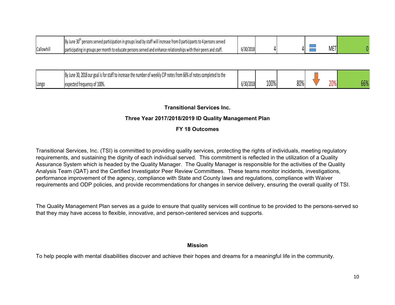|           | By June<br>persons served participation in groups lead by staff will increase from 0 participants to 4 persons served " |           |  |                                                    |  |
|-----------|-------------------------------------------------------------------------------------------------------------------------|-----------|--|----------------------------------------------------|--|
| Callowhil | - participating in groups per month to educate persons served and enhance relationships with their peers and staff.     | 6/30/2018 |  | $\overline{\phantom{a}}$<br>11/1 H<br><b>IVILI</b> |  |

|       | By June 30, 2018 our goal is for staff to increase the number of weekly CIP notes from 66% of notes completed to the |           |      |     |     |               |
|-------|----------------------------------------------------------------------------------------------------------------------|-----------|------|-----|-----|---------------|
| Longo | expected frequency of 100%.                                                                                          | 6/30/2018 | 100% | 80% | 20% | CCD<br>$00\%$ |

#### **Transitional Services Inc.**

#### **Three Year 2017/2018/2019 ID Quality Management Plan**

#### **FY 18 Outcomes**

Transitional Services, Inc. (TSI) is committed to providing quality services, protecting the rights of individuals, meeting regulatory requirements, and sustaining the dignity of each individual served. This commitment is reflected in the utilization of a Quality Assurance System which is headed by the Quality Manager. The Quality Manager is responsible for the activities of the Quality Analysis Team (QAT) and the Certified Investigator Peer Review Committees. These teams monitor incidents, investigations, performance improvement of the agency, compliance with State and County laws and regulations, compliance with Waiver requirements and ODP policies, and provide recommendations for changes in service delivery, ensuring the overall quality of TSI.

The Quality Management Plan serves as a guide to ensure that quality services will continue to be provided to the persons-served so that they may have access to flexible, innovative, and person-centered services and supports.

#### **Mission**

To help people with mental disabilities discover and achieve their hopes and dreams for a meaningful life in the community.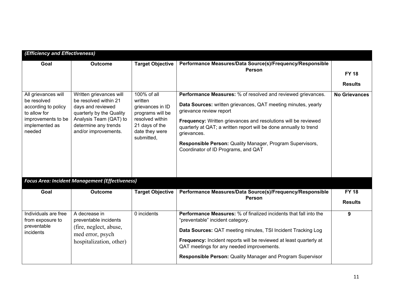| (Efficiency and Effectiveness)                                                                                              |                                                                                                                                                                             |                                                                                                                                     |                                                                                                                                                                                                                                                                                                                                                                                                                    |                                |
|-----------------------------------------------------------------------------------------------------------------------------|-----------------------------------------------------------------------------------------------------------------------------------------------------------------------------|-------------------------------------------------------------------------------------------------------------------------------------|--------------------------------------------------------------------------------------------------------------------------------------------------------------------------------------------------------------------------------------------------------------------------------------------------------------------------------------------------------------------------------------------------------------------|--------------------------------|
| Goal                                                                                                                        | <b>Outcome</b>                                                                                                                                                              | <b>Target Objective</b>                                                                                                             | Performance Measures/Data Source(s)/Frequency/Responsible<br>Person                                                                                                                                                                                                                                                                                                                                                | <b>FY 18</b><br><b>Results</b> |
| All grievances will<br>be resolved<br>according to policy<br>to allow for<br>improvements to be<br>implemented as<br>needed | Written grievances will<br>be resolved within 21<br>days and reviewed<br>quarterly by the Quality<br>Analysis Team (QAT) to<br>determine any trends<br>and/or improvements. | 100% of all<br>written<br>grievances in ID<br>programs will be<br>resolved within<br>21 days of the<br>date they were<br>submitted, | Performance Measures: % of resolved and reviewed grievances.<br>Data Sources: written grievances, QAT meeting minutes, yearly<br>grievance review report<br>Frequency: Written grievances and resolutions will be reviewed<br>quarterly at QAT; a written report will be done annually to trend<br>grievances.<br>Responsible Person: Quality Manager, Program Supervisors,<br>Coordinator of ID Programs, and QAT | <b>No Grievances</b>           |
|                                                                                                                             | <b>Focus Area: Incident Management (Effectiveness)</b>                                                                                                                      |                                                                                                                                     |                                                                                                                                                                                                                                                                                                                                                                                                                    |                                |
| Goal                                                                                                                        | <b>Outcome</b>                                                                                                                                                              | <b>Target Objective</b>                                                                                                             | Performance Measures/Data Source(s)/Frequency/Responsible<br>Person                                                                                                                                                                                                                                                                                                                                                | <b>FY 18</b><br><b>Results</b> |
| Individuals are free<br>from exposure to<br>preventable<br>incidents                                                        | A decrease in<br>preventable incidents<br>(fire, neglect, abuse,<br>med error, psych<br>hospitalization, other)                                                             | 0 incidents                                                                                                                         | Performance Measures: % of finalized incidents that fall into the<br>"preventable" incident category.<br>Data Sources: QAT meeting minutes, TSI Incident Tracking Log<br>Frequency: Incident reports will be reviewed at least quarterly at<br>QAT meetings for any needed improvements.<br>Responsible Person: Quality Manager and Program Supervisor                                                             | 9                              |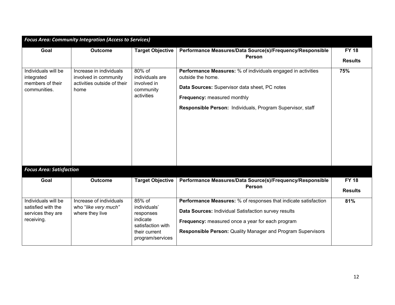|                                                                              | <b>Focus Area: Community Integration (Access to Services)</b>                           |                                                                                                           |                                                                                                                                                                                                                                                   |                                |
|------------------------------------------------------------------------------|-----------------------------------------------------------------------------------------|-----------------------------------------------------------------------------------------------------------|---------------------------------------------------------------------------------------------------------------------------------------------------------------------------------------------------------------------------------------------------|--------------------------------|
| Goal                                                                         | <b>Outcome</b>                                                                          | <b>Target Objective</b>                                                                                   | Performance Measures/Data Source(s)/Frequency/Responsible<br>Person                                                                                                                                                                               | <b>FY 18</b><br><b>Results</b> |
| Individuals will be<br>integrated<br>members of their<br>communities.        | Increase in individuals<br>involved in community<br>activities outside of their<br>home | 80% of<br>individuals are<br>involved in<br>community<br>activities                                       | Performance Measures: % of individuals engaged in activities<br>outside the home.<br>Data Sources: Supervisor data sheet, PC notes<br>Frequency: measured monthly<br>Responsible Person: Individuals, Program Supervisor, staff                   | 75%                            |
| <b>Focus Area: Satisfaction</b>                                              |                                                                                         |                                                                                                           |                                                                                                                                                                                                                                                   |                                |
| Goal                                                                         | <b>Outcome</b>                                                                          | <b>Target Objective</b>                                                                                   | Performance Measures/Data Source(s)/Frequency/Responsible<br>Person                                                                                                                                                                               | <b>FY 18</b><br><b>Results</b> |
| Individuals will be<br>satisfied with the<br>services they are<br>receiving. | Increase of individuals<br>who "like very much"<br>where they live                      | 85% of<br>individuals'<br>responses<br>indicate<br>satisfaction with<br>their current<br>program/services | Performance Measures: % of responses that indicate satisfaction<br>Data Sources: Individual Satisfaction survey results<br>Frequency: measured once a year for each program<br><b>Responsible Person: Quality Manager and Program Supervisors</b> | 81%                            |